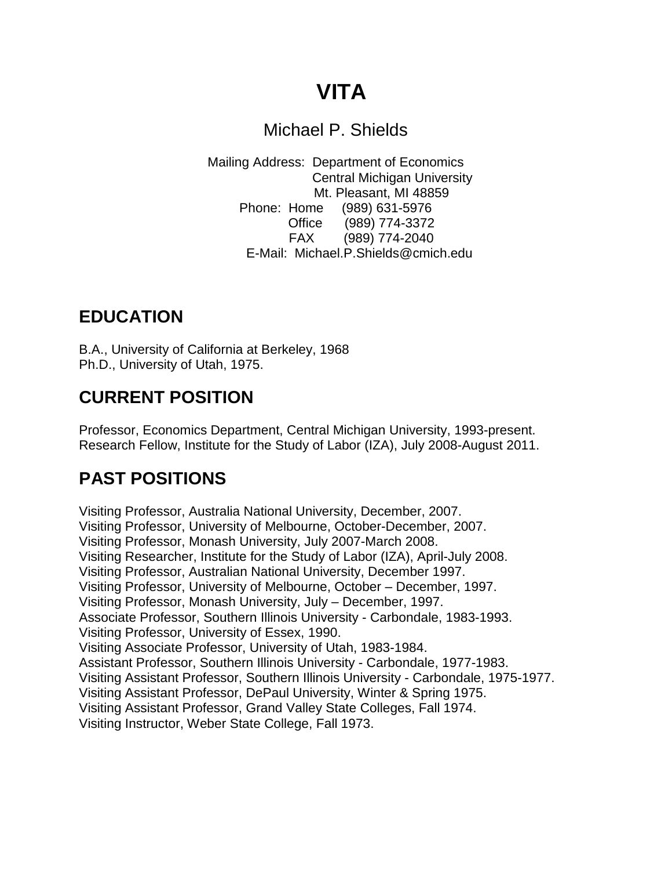# **VITA**

#### Michael P. Shields

Mailing Address: Department of Economics Central Michigan University Mt. Pleasant, MI 48859 Phone: Home (989) 631-5976 Office (989) 774-3372 FAX (989) 774-2040 E-Mail: Michael.P.Shields@cmich.edu

### **EDUCATION**

B.A., University of California at Berkeley, 1968 Ph.D., University of Utah, 1975.

# **CURRENT POSITION**

Professor, Economics Department, Central Michigan University, 1993-present. Research Fellow, Institute for the Study of Labor (IZA), July 2008-August 2011.

# **PAST POSITIONS**

Visiting Professor, Australia National University, December, 2007. Visiting Professor, University of Melbourne, October-December, 2007. Visiting Professor, Monash University, July 2007-March 2008. Visiting Researcher, Institute for the Study of Labor (IZA), April-July 2008. Visiting Professor, Australian National University, December 1997. Visiting Professor, University of Melbourne, October – December, 1997. Visiting Professor, Monash University, July – December, 1997. Associate Professor, Southern Illinois University - Carbondale, 1983-1993. Visiting Professor, University of Essex, 1990. Visiting Associate Professor, University of Utah, 1983-1984. Assistant Professor, Southern Illinois University - Carbondale, 1977-1983. Visiting Assistant Professor, Southern Illinois University - Carbondale, 1975-1977. Visiting Assistant Professor, DePaul University, Winter & Spring 1975. Visiting Assistant Professor, Grand Valley State Colleges, Fall 1974. Visiting Instructor, Weber State College, Fall 1973.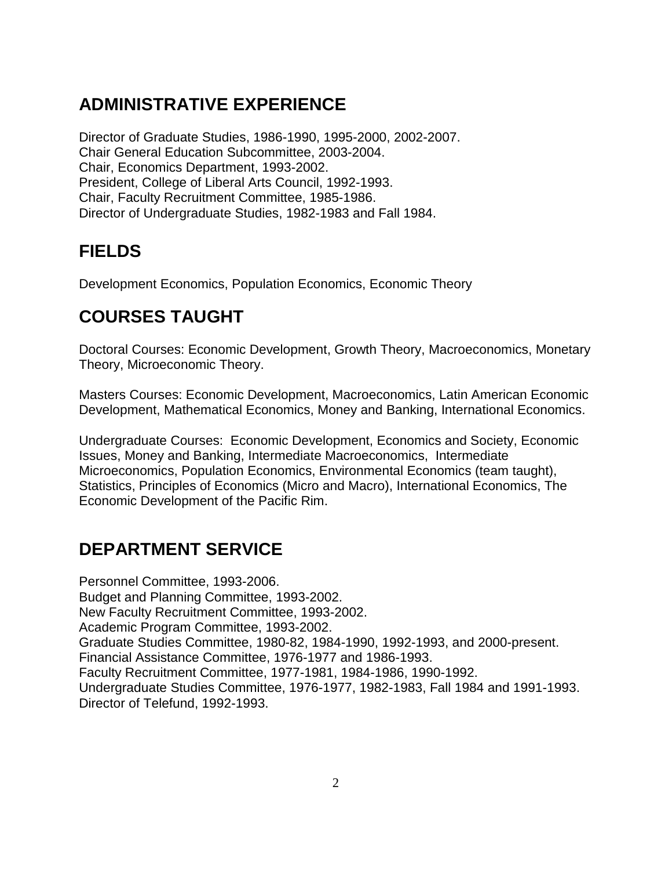# **ADMINISTRATIVE EXPERIENCE**

Director of Graduate Studies, 1986-1990, 1995-2000, 2002-2007. Chair General Education Subcommittee, 2003-2004. Chair, Economics Department, 1993-2002. President, College of Liberal Arts Council, 1992-1993. Chair, Faculty Recruitment Committee, 1985-1986. Director of Undergraduate Studies, 1982-1983 and Fall 1984.

# **FIELDS**

Development Economics, Population Economics, Economic Theory

# **COURSES TAUGHT**

Doctoral Courses: Economic Development, Growth Theory, Macroeconomics, Monetary Theory, Microeconomic Theory.

Masters Courses: Economic Development, Macroeconomics, Latin American Economic Development, Mathematical Economics, Money and Banking, International Economics.

Undergraduate Courses: Economic Development, Economics and Society, Economic Issues, Money and Banking, Intermediate Macroeconomics, Intermediate Microeconomics, Population Economics, Environmental Economics (team taught), Statistics, Principles of Economics (Micro and Macro), International Economics, The Economic Development of the Pacific Rim.

## **DEPARTMENT SERVICE**

Personnel Committee, 1993-2006. Budget and Planning Committee, 1993-2002. New Faculty Recruitment Committee, 1993-2002. Academic Program Committee, 1993-2002. Graduate Studies Committee, 1980-82, 1984-1990, 1992-1993, and 2000-present. Financial Assistance Committee, 1976-1977 and 1986-1993. Faculty Recruitment Committee, 1977-1981, 1984-1986, 1990-1992. Undergraduate Studies Committee, 1976-1977, 1982-1983, Fall 1984 and 1991-1993. Director of Telefund, 1992-1993.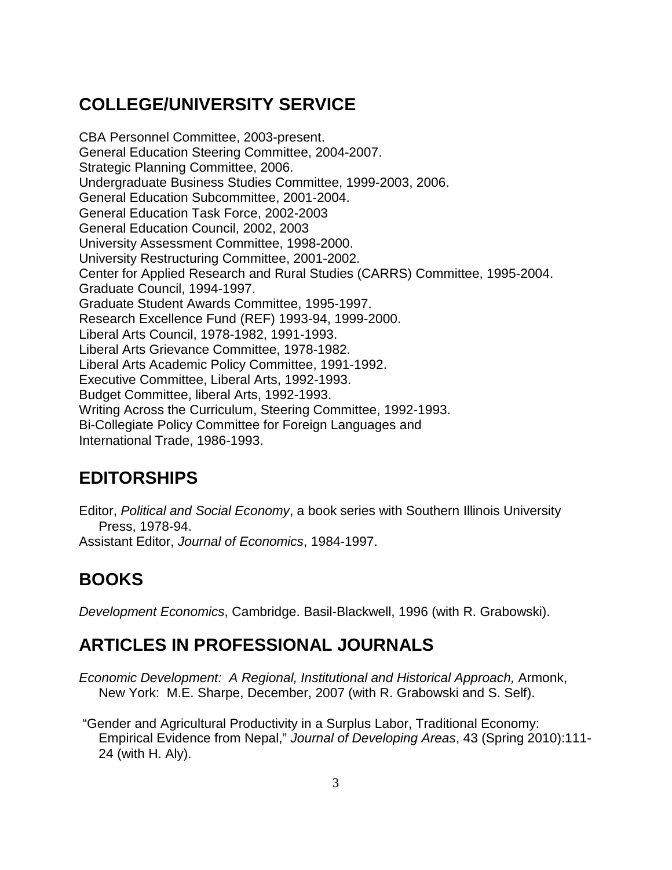# **COLLEGE/UNIVERSITY SERVICE**

CBA Personnel Committee, 2003-present. [General Education Steering Committee,](http://www.provost.cmich.edu/viceprovost/VP/gened/GenEdComittee.pdf) 2004-2007. Strategic Planning Committee, 2006. Undergraduate Business Studies Committee, 1999-2003, 2006. General Education Subcommittee, 2001-2004. General Education Task Force, 2002-2003 General Education Council, 2002, 2003 University Assessment Committee, 1998-2000. University Restructuring Committee, 2001-2002. Center for Applied Research and Rural Studies (CARRS) Committee, 1995-2004. Graduate Council, 1994-1997. Graduate Student Awards Committee, 1995-1997. Research Excellence Fund (REF) 1993-94, 1999-2000. Liberal Arts Council, 1978-1982, 1991-1993. Liberal Arts Grievance Committee, 1978-1982. Liberal Arts Academic Policy Committee, 1991-1992. Executive Committee, Liberal Arts, 1992-1993. Budget Committee, liberal Arts, 1992-1993. Writing Across the Curriculum, Steering Committee, 1992-1993. Bi-Collegiate Policy Committee for Foreign Languages and International Trade, 1986-1993.

#### **EDITORSHIPS**

Editor, *Political and Social Economy*, a book series with Southern Illinois University Press, 1978-94. Assistant Editor, *Journal of Economics*, 1984-1997.

**BOOKS**

*Development Economics*, Cambridge. Basil-Blackwell, 1996 (with R. Grabowski).

#### **ARTICLES IN PROFESSIONAL JOURNALS**

- *Economic Development: A Regional, Institutional and Historical Approach,* Armonk, New York: M.E. Sharpe, December, 2007 (with R. Grabowski and S. Self).
- "Gender and Agricultural Productivity in a Surplus Labor, Traditional Economy: Empirical Evidence from Nepal," *Journal of Developing Areas*, 43 (Spring 2010):111- 24 (with H. Aly).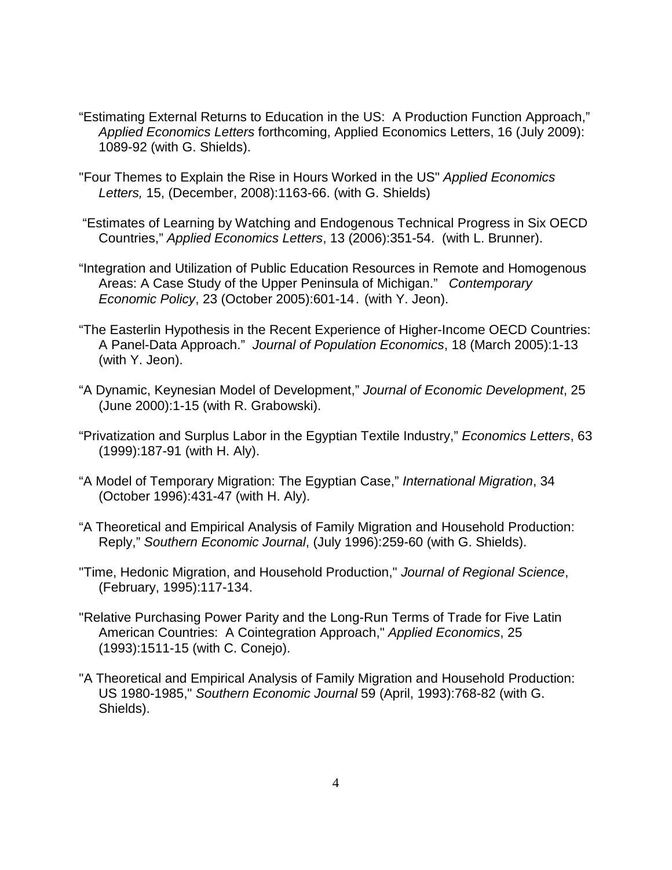- "Estimating External Returns to Education in the US: A Production Function Approach," *Applied Economics Letters* forthcoming, Applied Economics Letters, 16 (July 2009): 1089-92 (with G. Shields).
- "Four Themes to Explain the Rise in Hours Worked in the US" *Applied Economics Letters,* 15, (December, 2008):1163-66. (with G. Shields)
- "Estimates of Learning by Watching and Endogenous Technical Progress in Six OECD Countries," *Applied Economics Letters*, 13 (2006):351-54. (with L. Brunner).
- "Integration and Utilization of Public Education Resources in Remote and Homogenous Areas: A Case Study of the Upper Peninsula of Michigan." *Contemporary Economic Policy*, 23 (October 2005):601-14. (with Y. Jeon).
- "The Easterlin Hypothesis in the Recent Experience of Higher-Income OECD Countries: A Panel-Data Approach." *Journal of Population Economics*, 18 (March 2005):1-13 (with Y. Jeon).
- "A Dynamic, Keynesian Model of Development," *Journal of Economic Development*, 25 (June 2000):1-15 (with R. Grabowski).
- "Privatization and Surplus Labor in the Egyptian Textile Industry," *Economics Letters*, 63 (1999):187-91 (with H. Aly).
- "A Model of Temporary Migration: The Egyptian Case," *International Migration*, 34 (October 1996):431-47 (with H. Aly).
- "A Theoretical and Empirical Analysis of Family Migration and Household Production: Reply," *Southern Economic Journal*, (July 1996):259-60 (with G. Shields).
- "Time, Hedonic Migration, and Household Production," *Journal of Regional Science*, (February, 1995):117-134.
- "Relative Purchasing Power Parity and the Long-Run Terms of Trade for Five Latin American Countries: A Cointegration Approach," *Applied Economics*, 25 (1993):1511-15 (with C. Conejo).
- "A Theoretical and Empirical Analysis of Family Migration and Household Production: US 1980-1985," *Southern Economic Journal* 59 (April, 1993):768-82 (with G. Shields).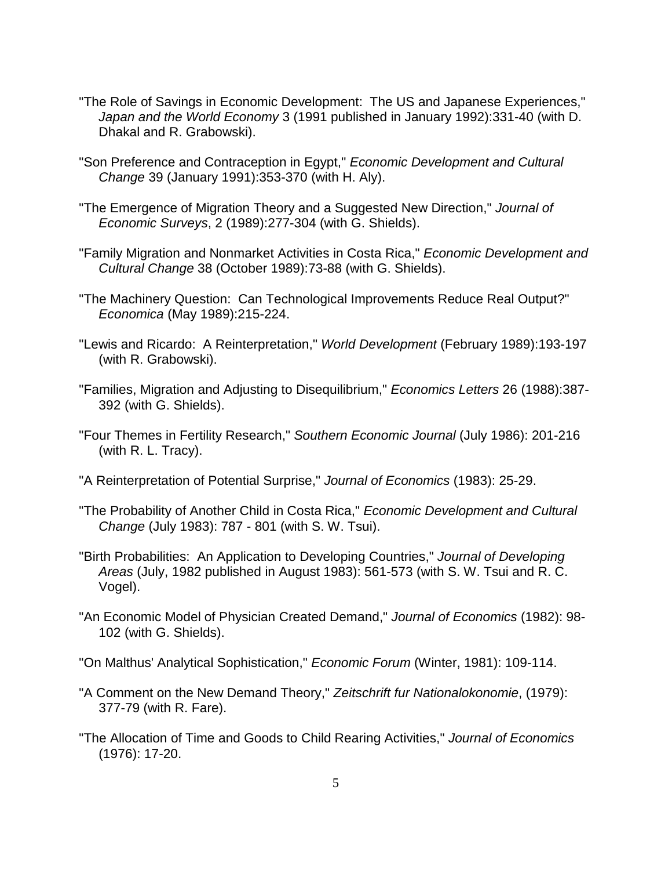- "The Role of Savings in Economic Development: The US and Japanese Experiences," *Japan and the World Economy* 3 (1991 published in January 1992):331-40 (with D. Dhakal and R. Grabowski).
- "Son Preference and Contraception in Egypt," *Economic Development and Cultural Change* 39 (January 1991):353-370 (with H. Aly).
- "The Emergence of Migration Theory and a Suggested New Direction," *Journal of Economic Surveys*, 2 (1989):277-304 (with G. Shields).
- "Family Migration and Nonmarket Activities in Costa Rica," *Economic Development and Cultural Change* 38 (October 1989):73-88 (with G. Shields).
- "The Machinery Question: Can Technological Improvements Reduce Real Output?" *Economica* (May 1989):215-224.
- "Lewis and Ricardo: A Reinterpretation," *World Development* (February 1989):193-197 (with R. Grabowski).
- "Families, Migration and Adjusting to Disequilibrium," *Economics Letters* 26 (1988):387- 392 (with G. Shields).
- "Four Themes in Fertility Research," *Southern Economic Journal* (July 1986): 201-216 (with R. L. Tracy).
- "A Reinterpretation of Potential Surprise," *Journal of Economics* (1983): 25-29.
- "The Probability of Another Child in Costa Rica," *Economic Development and Cultural Change* (July 1983): 787 - 801 (with S. W. Tsui).
- "Birth Probabilities: An Application to Developing Countries," *Journal of Developing Areas* (July, 1982 published in August 1983): 561-573 (with S. W. Tsui and R. C. Vogel).
- "An Economic Model of Physician Created Demand," *Journal of Economics* (1982): 98- 102 (with G. Shields).
- "On Malthus' Analytical Sophistication," *Economic Forum* (Winter, 1981): 109-114.
- "A Comment on the New Demand Theory," *Zeitschrift fur Nationalokonomie*, (1979): 377-79 (with R. Fare).
- "The Allocation of Time and Goods to Child Rearing Activities," *Journal of Economics* (1976): 17-20.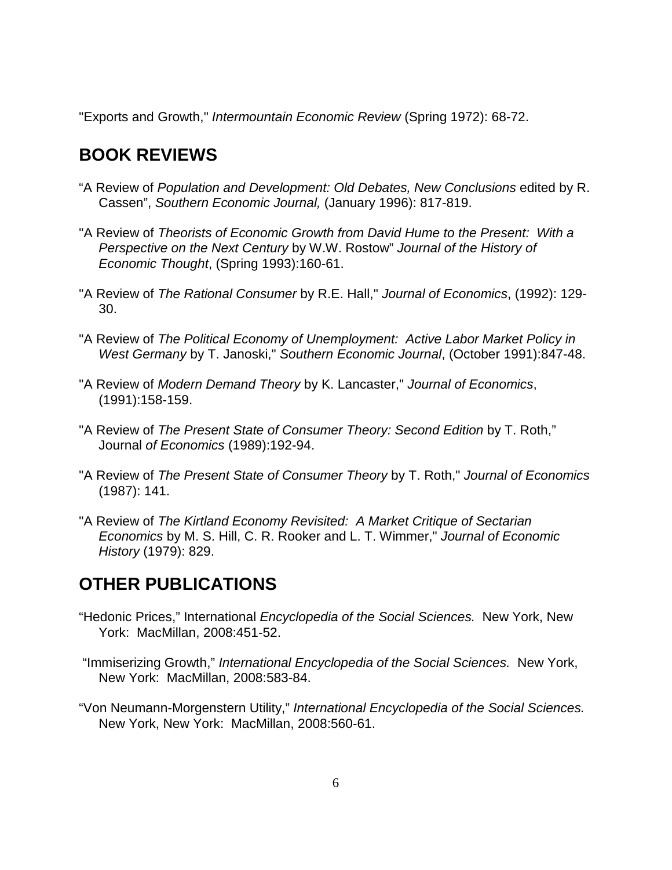"Exports and Growth," *Intermountain Economic Review* (Spring 1972): 68-72.

#### **BOOK REVIEWS**

- "A Review of *Population and Development: Old Debates, New Conclusions* edited by R. Cassen", *Southern Economic Journal,* (January 1996): 817-819.
- "A Review of *Theorists of Economic Growth from David Hume to the Present: With a Perspective on the Next Century* by W.W. Rostow" *Journal of the History of Economic Thought*, (Spring 1993):160-61.
- "A Review of *The Rational Consumer* by R.E. Hall," *Journal of Economics*, (1992): 129- 30.
- "A Review of *The Political Economy of Unemployment: Active Labor Market Policy in West Germany* by T. Janoski," *Southern Economic Journal*, (October 1991):847-48.
- "A Review of *Modern Demand Theory* by K. Lancaster," *Journal of Economics*, (1991):158-159.
- "A Review of *The Present State of Consumer Theory: Second Edition* by T. Roth," Journal *of Economics* (1989):192-94.
- "A Review of *The Present State of Consumer Theory* by T. Roth," *Journal of Economics* (1987): 141.
- "A Review of *The Kirtland Economy Revisited: A Market Critique of Sectarian Economics* by M. S. Hill, C. R. Rooker and L. T. Wimmer," *Journal of Economic History* (1979): 829.

## **OTHER PUBLICATIONS**

- "Hedonic Prices," International *Encyclopedia of the Social Sciences.* New York, New York: MacMillan, 2008:451-52.
- "Immiserizing Growth," *International Encyclopedia of the Social Sciences.* New York, New York: MacMillan, 2008:583-84.
- "Von Neumann-Morgenstern Utility," *International Encyclopedia of the Social Sciences.* New York, New York: MacMillan, 2008:560-61.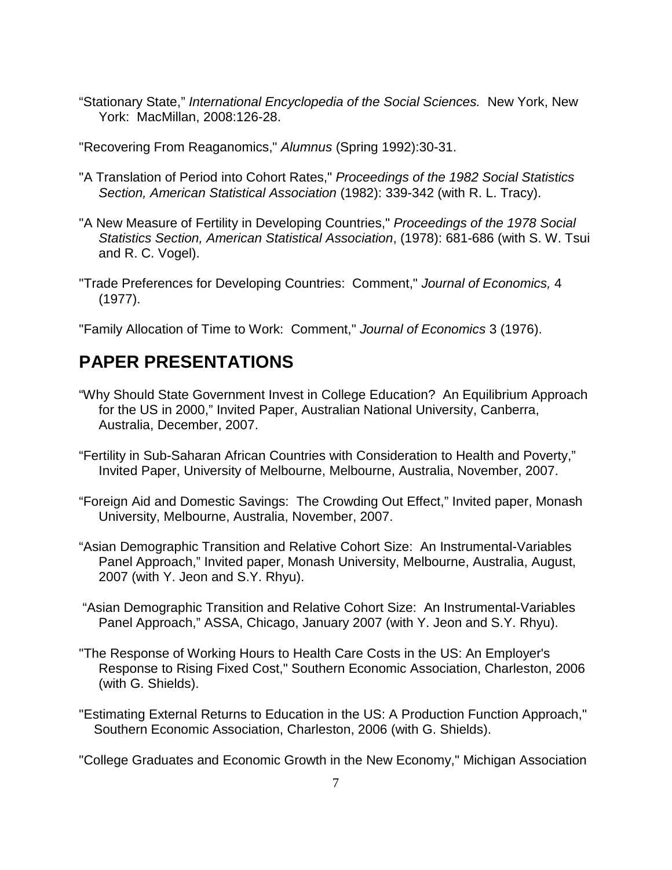- "Stationary State," *International Encyclopedia of the Social Sciences.* New York, New York: MacMillan, 2008:126-28.
- "Recovering From Reaganomics," *Alumnus* (Spring 1992):30-31.
- "A Translation of Period into Cohort Rates," *Proceedings of the 1982 Social Statistics Section, American Statistical Association* (1982): 339-342 (with R. L. Tracy).
- "A New Measure of Fertility in Developing Countries," *Proceedings of the 1978 Social Statistics Section, American Statistical Association*, (1978): 681-686 (with S. W. Tsui and R. C. Vogel).
- "Trade Preferences for Developing Countries: Comment," *Journal of Economics,* 4 (1977).

"Family Allocation of Time to Work: Comment," *Journal of Economics* 3 (1976).

#### **PAPER PRESENTATIONS**

- "Why Should State Government Invest in College Education? An Equilibrium Approach for the US in 2000," Invited Paper, Australian National University, Canberra, Australia, December, 2007.
- "Fertility in Sub-Saharan African Countries with Consideration to Health and Poverty," Invited Paper, University of Melbourne, Melbourne, Australia, November, 2007.
- "Foreign Aid and Domestic Savings: The Crowding Out Effect," Invited paper, Monash University, Melbourne, Australia, November, 2007.
- "Asian Demographic Transition and Relative Cohort Size: An Instrumental-Variables Panel Approach," Invited paper, Monash University, Melbourne, Australia, August, 2007 (with Y. Jeon and S.Y. Rhyu).
- "Asian Demographic Transition and Relative Cohort Size: An Instrumental-Variables Panel Approach," ASSA, Chicago, January 2007 (with Y. Jeon and S.Y. Rhyu).
- "The Response of Working Hours to Health Care Costs in the US: An Employer's Response to Rising Fixed Cost," Southern Economic Association, Charleston, 2006 (with G. Shields).
- "Estimating External Returns to Education in the US: A Production Function Approach," Southern Economic Association, Charleston, 2006 (with G. Shields).

"College Graduates and Economic Growth in the New Economy," Michigan Association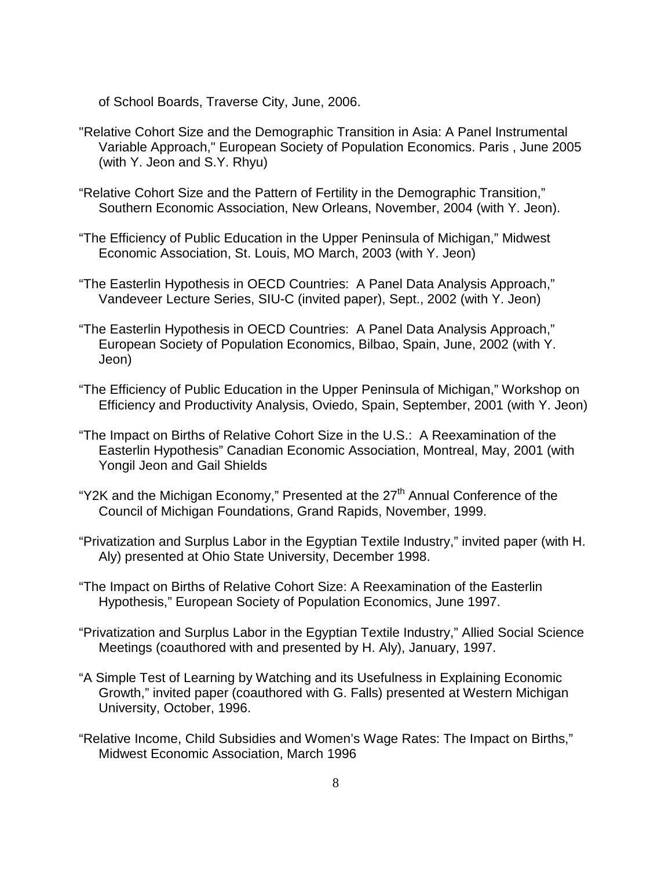of School Boards, Traverse City, June, 2006.

- "Relative Cohort Size and the Demographic Transition in Asia: A Panel Instrumental Variable Approach," European Society of Population Economics. Paris , June 2005 (with Y. Jeon and S.Y. Rhyu)
- "Relative Cohort Size and the Pattern of Fertility in the Demographic Transition," Southern Economic Association, New Orleans, November, 2004 (with Y. Jeon).
- "The Efficiency of Public Education in the Upper Peninsula of Michigan," Midwest Economic Association, St. Louis, MO March, 2003 (with Y. Jeon)
- "The Easterlin Hypothesis in OECD Countries: A Panel Data Analysis Approach," Vandeveer Lecture Series, SIU-C (invited paper), Sept., 2002 (with Y. Jeon)
- "The Easterlin Hypothesis in OECD Countries: A Panel Data Analysis Approach," European Society of Population Economics, Bilbao, Spain, June, 2002 (with Y. Jeon)
- "The Efficiency of Public Education in the Upper Peninsula of Michigan," Workshop on Efficiency and Productivity Analysis, Oviedo, Spain, September, 2001 (with Y. Jeon)
- "The Impact on Births of Relative Cohort Size in the U.S.: A Reexamination of the Easterlin Hypothesis" Canadian Economic Association, Montreal, May, 2001 (with Yongil Jeon and Gail Shields
- "Y2K and the Michigan Economy," Presented at the  $27<sup>th</sup>$  Annual Conference of the Council of Michigan Foundations, Grand Rapids, November, 1999.
- "Privatization and Surplus Labor in the Egyptian Textile Industry," invited paper (with H. Aly) presented at Ohio State University, December 1998.
- "The Impact on Births of Relative Cohort Size: A Reexamination of the Easterlin Hypothesis," European Society of Population Economics, June 1997.
- "Privatization and Surplus Labor in the Egyptian Textile Industry," Allied Social Science Meetings (coauthored with and presented by H. Aly), January, 1997.
- "A Simple Test of Learning by Watching and its Usefulness in Explaining Economic Growth," invited paper (coauthored with G. Falls) presented at Western Michigan University, October, 1996.
- "Relative Income, Child Subsidies and Women's Wage Rates: The Impact on Births," Midwest Economic Association, March 1996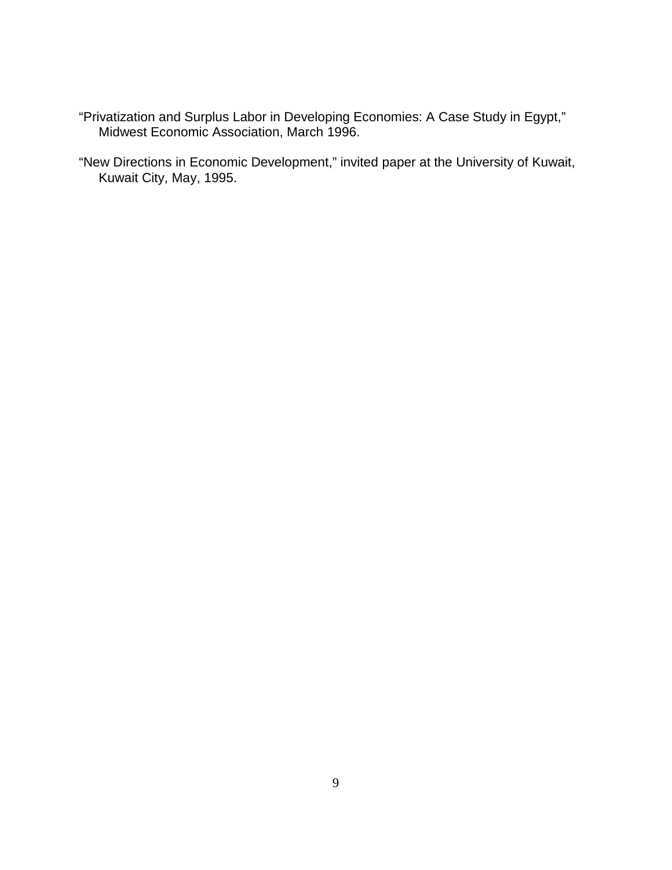- "Privatization and Surplus Labor in Developing Economies: A Case Study in Egypt," Midwest Economic Association, March 1996.
- "New Directions in Economic Development," invited paper at the University of Kuwait, Kuwait City, May, 1995.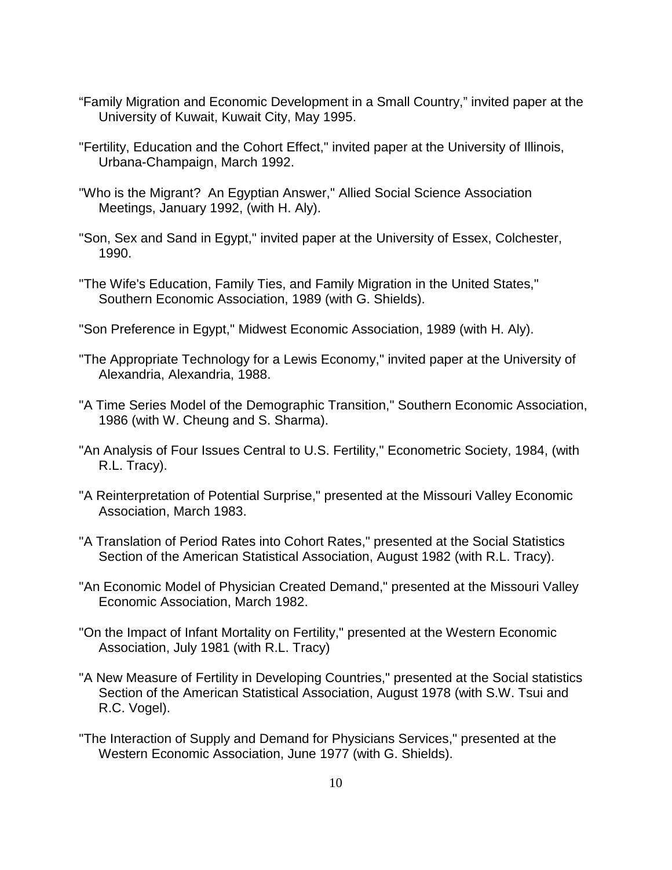- "Family Migration and Economic Development in a Small Country," invited paper at the University of Kuwait, Kuwait City, May 1995.
- "Fertility, Education and the Cohort Effect," invited paper at the University of Illinois, Urbana-Champaign, March 1992.
- "Who is the Migrant? An Egyptian Answer," Allied Social Science Association Meetings, January 1992, (with H. Aly).
- "Son, Sex and Sand in Egypt," invited paper at the University of Essex, Colchester, 1990.
- "The Wife's Education, Family Ties, and Family Migration in the United States," Southern Economic Association, 1989 (with G. Shields).
- "Son Preference in Egypt," Midwest Economic Association, 1989 (with H. Aly).
- "The Appropriate Technology for a Lewis Economy," invited paper at the University of Alexandria, Alexandria, 1988.
- "A Time Series Model of the Demographic Transition," Southern Economic Association, 1986 (with W. Cheung and S. Sharma).
- "An Analysis of Four Issues Central to U.S. Fertility," Econometric Society, 1984, (with R.L. Tracy).
- "A Reinterpretation of Potential Surprise," presented at the Missouri Valley Economic Association, March 1983.
- "A Translation of Period Rates into Cohort Rates," presented at the Social Statistics Section of the American Statistical Association, August 1982 (with R.L. Tracy).
- "An Economic Model of Physician Created Demand," presented at the Missouri Valley Economic Association, March 1982.
- "On the Impact of Infant Mortality on Fertility," presented at the Western Economic Association, July 1981 (with R.L. Tracy)
- "A New Measure of Fertility in Developing Countries," presented at the Social statistics Section of the American Statistical Association, August 1978 (with S.W. Tsui and R.C. Vogel).
- "The Interaction of Supply and Demand for Physicians Services," presented at the Western Economic Association, June 1977 (with G. Shields).